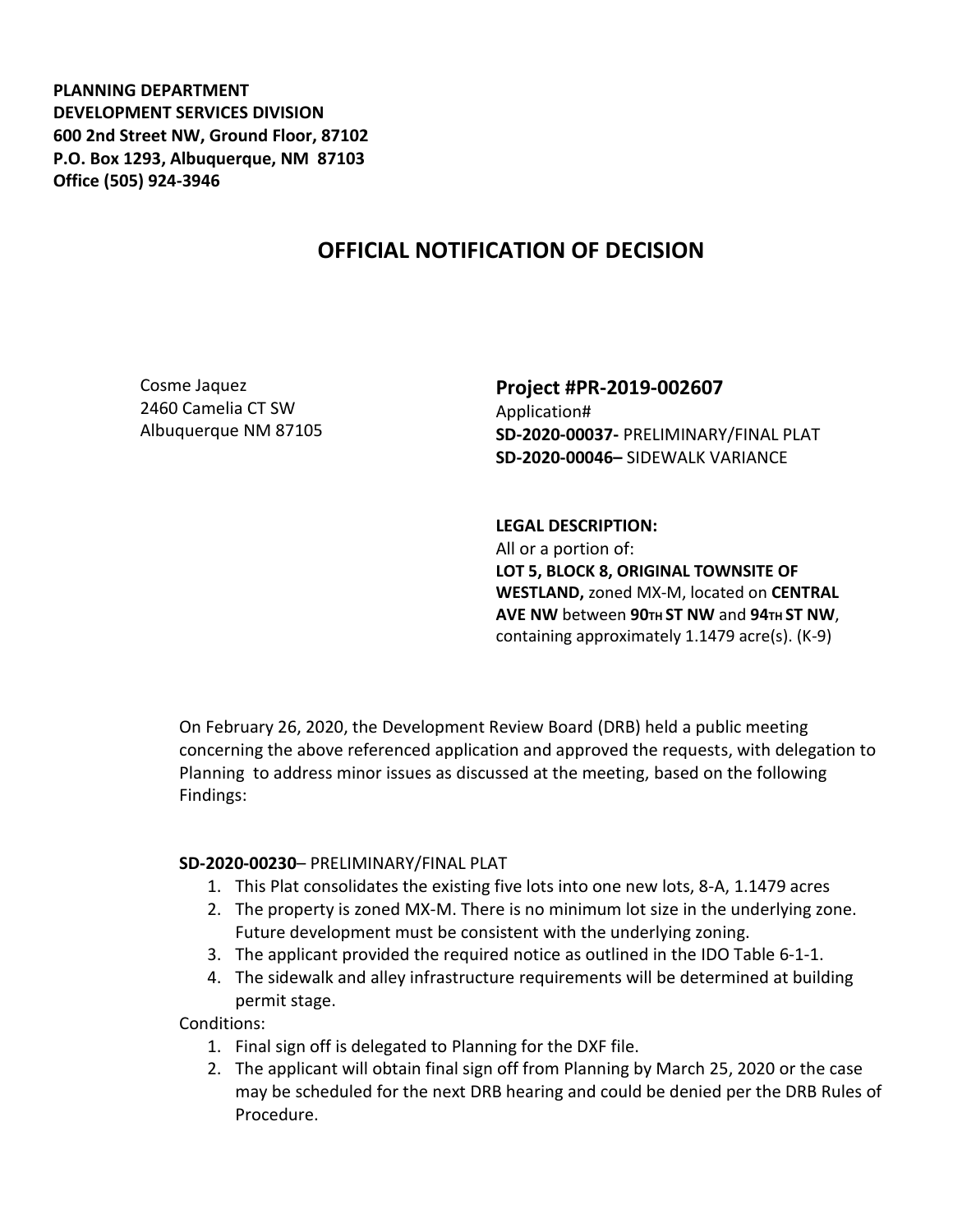**PLANNING DEPARTMENT DEVELOPMENT SERVICES DIVISION 600 2nd Street NW, Ground Floor, 87102 P.O. Box 1293, Albuquerque, NM 87103 Office (505) 924-3946** 

## **OFFICIAL NOTIFICATION OF DECISION**

Cosme Jaquez 2460 Camelia CT SW Albuquerque NM 87105

## **Project #PR-2019-002607** Application# **SD-2020-00037-** PRELIMINARY/FINAL PLAT **SD-2020-00046–** SIDEWALK VARIANCE

**LEGAL DESCRIPTION:** All or a portion of: **LOT 5, BLOCK 8, ORIGINAL TOWNSITE OF WESTLAND,** zoned MX-M, located on **CENTRAL AVE NW** between **90TH ST NW** and **94TH ST NW**, containing approximately 1.1479 acre(s). (K-9)

On February 26, 2020, the Development Review Board (DRB) held a public meeting concerning the above referenced application and approved the requests, with delegation to Planning to address minor issues as discussed at the meeting, based on the following Findings:

## **SD-2020-00230**– PRELIMINARY/FINAL PLAT

- 1. This Plat consolidates the existing five lots into one new lots, 8-A, 1.1479 acres
- 2. The property is zoned MX-M. There is no minimum lot size in the underlying zone. Future development must be consistent with the underlying zoning.
- 3. The applicant provided the required notice as outlined in the IDO Table 6-1-1.
- 4. The sidewalk and alley infrastructure requirements will be determined at building permit stage.

Conditions:

- 1. Final sign off is delegated to Planning for the DXF file.
- 2. The applicant will obtain final sign off from Planning by March 25, 2020 or the case may be scheduled for the next DRB hearing and could be denied per the DRB Rules of Procedure.